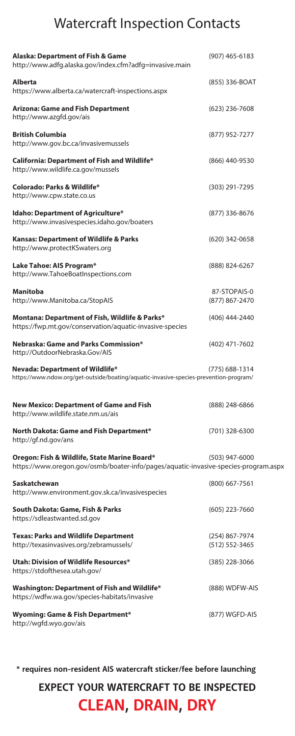## Watercraft Inspection Contacts

| Alaska: Department of Fish & Game<br>http://www.adfg.alaska.gov/index.cfm?adfg=invasive.main                                        | $(907)$ 465-6183                 |
|-------------------------------------------------------------------------------------------------------------------------------------|----------------------------------|
| <b>Alberta</b><br>https://www.alberta.ca/watercraft-inspections.aspx                                                                | (855) 336-BOAT                   |
| <b>Arizona: Game and Fish Department</b><br>http://www.azgfd.gov/ais                                                                | $(623)$ 236-7608                 |
| <b>British Columbia</b><br>http://www.gov.bc.ca/invasivemussels                                                                     | (877) 952-7277                   |
| California: Department of Fish and Wildlife*<br>http://www.wildlife.ca.gov/mussels                                                  | (866) 440-9530                   |
| Colorado: Parks & Wildlife*<br>http://www.cpw.state.co.us                                                                           | (303) 291-7295                   |
| <b>Idaho: Department of Agriculture*</b><br>http://www.invasivespecies.idaho.gov/boaters                                            | (877) 336-8676                   |
| Kansas: Department of Wildlife & Parks<br>http://www.protectKSwaters.org                                                            | (620) 342-0658                   |
| Lake Tahoe: AIS Program*<br>http://www.TahoeBoatInspections.com                                                                     | (888) 824-6267                   |
| Manitoba                                                                                                                            | 87-STOPAIS-0                     |
| http://www.Manitoba.ca/StopAIS                                                                                                      | (877) 867-2470                   |
|                                                                                                                                     |                                  |
| Montana: Department of Fish, Wildlife & Parks*<br>https://fwp.mt.gov/conservation/aquatic-invasive-species                          | (406) 444-2440                   |
| Nebraska: Game and Parks Commission*<br>http://OutdoorNebraska.Gov/AIS                                                              | (402) 471-7602                   |
| Nevada: Department of Wildlife*                                                                                                     | (775) 688-1314                   |
| https://www.ndow.org/get-outside/boating/aquatic-invasive-species-prevention-program/                                               |                                  |
| <b>New Mexico: Department of Game and Fish</b><br>http://www.wildlife.state.nm.us/ais                                               | (888) 248-6866                   |
| North Dakota: Game and Fish Department*<br>http://gf.nd.gov/ans                                                                     | (701) 328-6300                   |
| Oregon: Fish & Wildlife, State Marine Board*<br>https://www.oregon.gov/osmb/boater-info/pages/aquatic-invasive-species-program.aspx | (503) 947-6000                   |
| Saskatchewan<br>http://www.environment.gov.sk.ca/invasivespecies                                                                    | $(800)$ 667-7561                 |
| South Dakota: Game, Fish & Parks<br>https://sdleastwanted.sd.gov                                                                    | $(605)$ 223-7660                 |
| <b>Texas: Parks and Wildlife Department</b><br>http://texasinvasives.org/zebramussels/                                              | (254) 867-7974<br>(512) 552-3465 |
| Utah: Division of Wildlife Resources*<br>https://stdofthesea.utah.gov/                                                              | $(385)$ 228-3066                 |
| Washington: Department of Fish and Wildlife*<br>https://wdfw.wa.gov/species-habitats/invasive                                       | (888) WDFW-AIS                   |
| Wyoming: Game & Fish Department*<br>http://wgfd.wyo.gov/ais                                                                         | (877) WGFD-AIS                   |

**\* requires non-resident AIS watercraft sticker/fee before launching**

**EXPECT YOUR WATERCRAFT TO BE INSPECTED CLEAN, DRAIN, DRY**